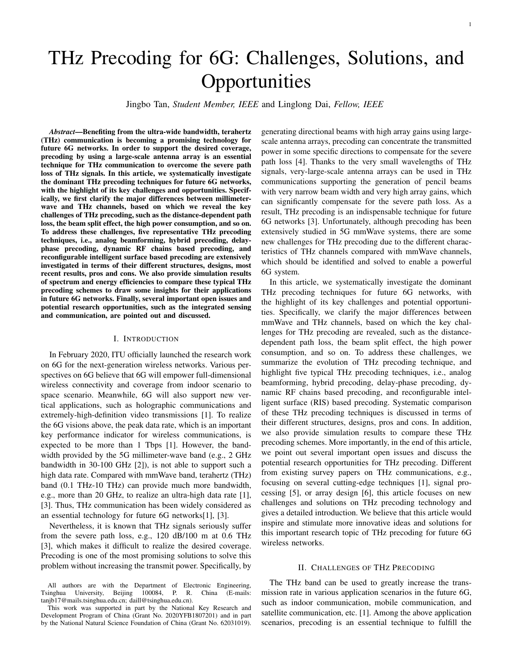# THz Precoding for 6G: Challenges, Solutions, and **Opportunities**

Jingbo Tan, *Student Member, IEEE* and Linglong Dai, *Fellow, IEEE*

*Abstract*—Benefiting from the ultra-wide bandwidth, terahertz (THz) communication is becoming a promising technology for future 6G networks. In order to support the desired coverage, precoding by using a large-scale antenna array is an essential technique for THz communication to overcome the severe path loss of THz signals. In this article, we systematically investigate the dominant THz precoding techniques for future 6G networks, with the highlight of its key challenges and opportunities. Specifically, we first clarify the major differences between millimeterwave and THz channels, based on which we reveal the key challenges of THz precoding, such as the distance-dependent path loss, the beam split effect, the high power consumption, and so on. To address these challenges, five representative THz precoding techniques, i.e., analog beamforming, hybrid precoding, delayphase precoding, dynamic RF chains based precoding, and reconfigurable intelligent surface based precoding are extensively investigated in terms of their different structures, designs, most recent results, pros and cons. We also provide simulation results of spectrum and energy efficiencies to compare these typical THz precoding schemes to draw some insights for their applications in future 6G networks. Finally, several important open issues and potential research opportunities, such as the integrated sensing and communication, are pointed out and discussed.

#### I. INTRODUCTION

In February 2020, ITU officially launched the research work on 6G for the next-generation wireless networks. Various perspectives on 6G believe that 6G will empower full-dimensional wireless connectivity and coverage from indoor scenario to space scenario. Meanwhile, 6G will also support new vertical applications, such as holographic communications and extremely-high-definition video transmissions [1]. To realize the 6G visions above, the peak data rate, which is an important key performance indicator for wireless communications, is expected to be more than 1 Tbps [1]. However, the bandwidth provided by the 5G millimeter-wave band (e.g., 2 GHz bandwidth in 30-100 GHz [2]), is not able to support such a high data rate. Compared with mmWave band, terahertz (THz) band (0.1 THz-10 THz) can provide much more bandwidth, e.g., more than 20 GHz, to realize an ultra-high data rate [1], [3]. Thus, THz communication has been widely considered as an essential technology for future 6G networks[1], [3].

Nevertheless, it is known that THz signals seriously suffer from the severe path loss, e.g., 120 dB/100 m at 0.6 THz [3], which makes it difficult to realize the desired coverage. Precoding is one of the most promising solutions to solve this problem without increasing the transmit power. Specifically, by generating directional beams with high array gains using largescale antenna arrays, precoding can concentrate the transmitted power in some specific directions to compensate for the severe path loss [4]. Thanks to the very small wavelengths of THz signals, very-large-scale antenna arrays can be used in THz communications supporting the generation of pencil beams with very narrow beam width and very high array gains, which can significantly compensate for the severe path loss. As a result, THz precoding is an indispensable technique for future 6G networks [3]. Unfortunately, although precoding has been extensively studied in 5G mmWave systems, there are some new challenges for THz precoding due to the different characteristics of THz channels compared with mmWave channels, which should be identified and solved to enable a powerful 6G system.

In this article, we systematically investigate the dominant THz precoding techniques for future 6G networks, with the highlight of its key challenges and potential opportunities. Specifically, we clarify the major differences between mmWave and THz channels, based on which the key challenges for THz precoding are revealed, such as the distancedependent path loss, the beam split effect, the high power consumption, and so on. To address these challenges, we summarize the evolution of THz precoding technique, and highlight five typical THz precoding techniques, i.e., analog beamforming, hybrid precoding, delay-phase precoding, dynamic RF chains based precoding, and reconfigurable intelligent surface (RIS) based precoding. Systematic comparison of these THz precoding techniques is discussed in terms of their different structures, designs, pros and cons. In addition, we also provide simulation results to compare these THz precoding schemes. More importantly, in the end of this article, we point out several important open issues and discuss the potential research opportunities for THz precoding. Different from existing survey papers on THz communications, e.g., focusing on several cutting-edge techniques [1], signal processing [5], or array design [6], this article focuses on new challenges and solutions on THz precoding technology and gives a detailed introduction. We believe that this article would inspire and stimulate more innovative ideas and solutions for this important research topic of THz precoding for future 6G wireless networks.

#### II. CHALLENGES OF THZ PRECODING

The THz band can be used to greatly increase the transmission rate in various application scenarios in the future 6G, such as indoor communication, mobile communication, and satellite communication, etc. [1]. Among the above application scenarios, precoding is an essential technique to fulfill the

All authors are with the Department of Electronic Engineering,<br>
singhua University, Beijing 100084, P. R. China (E-mails: Tsinghua University, Beijing 100084, P. R. tanjb17@mails.tsinghua.edu.cn; daill@tsinghua.edu.cn).

This work was supported in part by the National Key Research and Development Program of China (Grant No. 2020YFB1807201) and in part by the National Natural Science Foundation of China (Grant No. 62031019).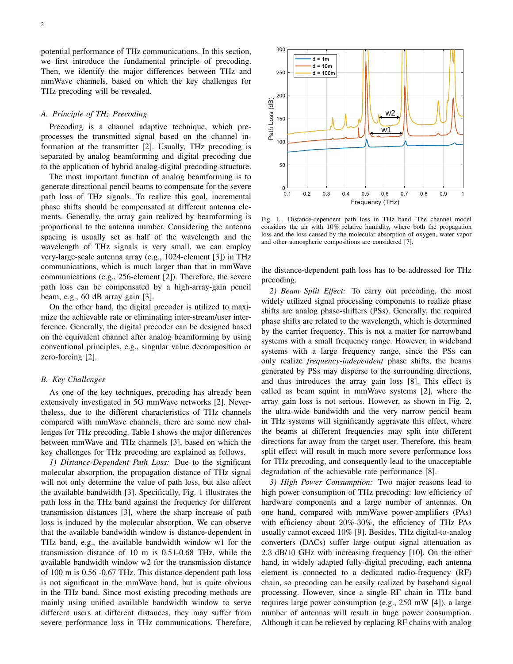2

potential performance of THz communications. In this section, we first introduce the fundamental principle of precoding. Then, we identify the major differences between THz and mmWave channels, based on which the key challenges for THz precoding will be revealed.

## *A. Principle of THz Precoding*

Precoding is a channel adaptive technique, which preprocesses the transmitted signal based on the channel information at the transmitter [2]. Usually, THz precoding is separated by analog beamforming and digital precoding due to the application of hybrid analog-digital precoding structure.

The most important function of analog beamforming is to generate directional pencil beams to compensate for the severe path loss of THz signals. To realize this goal, incremental phase shifts should be compensated at different antenna elements. Generally, the array gain realized by beamforming is proportional to the antenna number. Considering the antenna spacing is usually set as half of the wavelength and the wavelength of THz signals is very small, we can employ very-large-scale antenna array (e.g., 1024-element [3]) in THz communications, which is much larger than that in mmWave communications (e.g., 256-element [2]). Therefore, the severe path loss can be compensated by a high-array-gain pencil beam, e.g., 60 dB array gain [3].

On the other hand, the digital precoder is utilized to maximize the achievable rate or eliminating inter-stream/user interference. Generally, the digital precoder can be designed based on the equivalent channel after analog beamforming by using conventional principles, e.g., singular value decomposition or zero-forcing [2].

#### *B. Key Challenges*

As one of the key techniques, precoding has already been extensively investigated in 5G mmWave networks [2]. Nevertheless, due to the different characteristics of THz channels compared with mmWave channels, there are some new challenges for THz precoding. Table I shows the major differences between mmWave and THz channels [3], based on which the key challenges for THz precoding are explained as follows.

*1) Distance-Dependent Path Loss:* Due to the significant molecular absorption, the propagation distance of THz signal will not only determine the value of path loss, but also affect the available bandwidth [3]. Specifically, Fig. 1 illustrates the path loss in the THz band against the frequency for different transmission distances [3], where the sharp increase of path loss is induced by the molecular absorption. We can observe that the available bandwidth window is distance-dependent in THz band, e.g., the available bandwidth window w1 for the transmission distance of 10 m is 0.51-0.68 THz, while the available bandwidth window w2 for the transmission distance of 100 m is 0.56 -0.67 THz. This distance-dependent path loss is not significant in the mmWave band, but is quite obvious in the THz band. Since most existing precoding methods are mainly using unified available bandwidth window to serve different users at different distances, they may suffer from severe performance loss in THz communications. Therefore,



Fig. 1. Distance-dependent path loss in THz band. The channel model considers the air with 10% relative humidity, where both the propagation loss and the loss caused by the molecular absorption of oxygen, water vapor and other atmospheric compositions are considered [7].

the distance-dependent path loss has to be addressed for THz precoding.

*2) Beam Split Effect:* To carry out precoding, the most widely utilized signal processing components to realize phase shifts are analog phase-shifters (PSs). Generally, the required phase shifts are related to the wavelength, which is determined by the carrier frequency. This is not a matter for narrowband systems with a small frequency range. However, in wideband systems with a large frequency range, since the PSs can only realize *frequency-independent* phase shifts, the beams generated by PSs may disperse to the surrounding directions, and thus introduces the array gain loss [8]. This effect is called as beam squint in mmWave systems [2], where the array gain loss is not serious. However, as shown in Fig. 2, the ultra-wide bandwidth and the very narrow pencil beam in THz systems will significantly aggravate this effect, where the beams at different frequencies may split into different directions far away from the target user. Therefore, this beam split effect will result in much more severe performance loss for THz precoding, and consequently lead to the unacceptable degradation of the achievable rate performance [8].

*3) High Power Consumption:* Two major reasons lead to high power consumption of THz precoding: low efficiency of hardware components and a large number of antennas. On one hand, compared with mmWave power-amplifiers (PAs) with efficiency about 20%-30%, the efficiency of THz PAs usually cannot exceed 10% [9]. Besides, THz digital-to-analog converters (DACs) suffer large output signal attenuation as 2.3 dB/10 GHz with increasing frequency [10]. On the other hand, in widely adapted fully-digital precoding, each antenna element is connected to a dedicated radio-frequency (RF) chain, so precoding can be easily realized by baseband signal processing. However, since a single RF chain in THz band requires large power consumption (e.g., 250 mW [4]), a large number of antennas will result in huge power consumption. Although it can be relieved by replacing RF chains with analog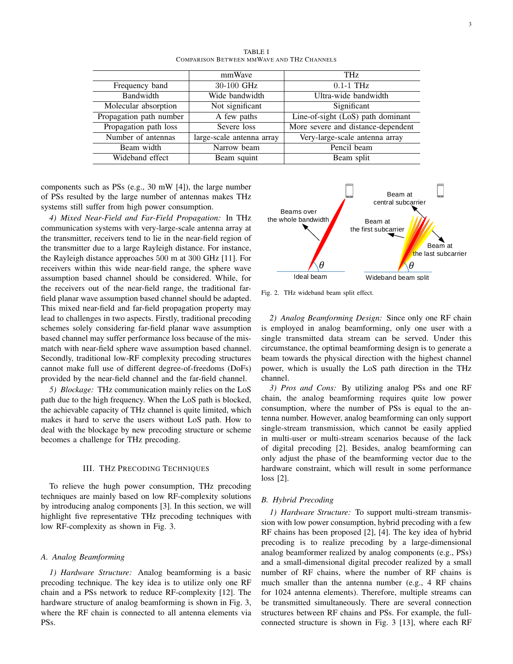|                         | mmWave                    | <b>THz</b>                         |
|-------------------------|---------------------------|------------------------------------|
| Frequency band          | 30-100 GHz                | $0.1-1$ THz                        |
| Bandwidth               | Wide bandwidth            | Ultra-wide bandwidth               |
| Molecular absorption    | Not significant           | Significant                        |
| Propagation path number | A few paths               | Line-of-sight (LoS) path dominant  |
| Propagation path loss   | Severe loss               | More severe and distance-dependent |
| Number of antennas      | large-scale antenna array | Very-large-scale antenna array     |
| Beam width              | Narrow beam               | Pencil beam                        |
| Wideband effect         | Beam squint               | Beam split                         |

TABLE I COMPARISON BETWEEN MMWAVE AND THZ CHANNELS

components such as PSs (e.g., 30 mW [4]), the large number of PSs resulted by the large number of antennas makes THz systems still suffer from high power consumption.

*4) Mixed Near-Field and Far-Field Propagation:* In THz communication systems with very-large-scale antenna array at the transmitter, receivers tend to lie in the near-field region of the transmitter due to a large Rayleigh distance. For instance, the Rayleigh distance approaches 500 m at 300 GHz [11]. For receivers within this wide near-field range, the sphere wave assumption based channel should be considered. While, for the receivers out of the near-field range, the traditional farfield planar wave assumption based channel should be adapted. This mixed near-field and far-field propagation property may lead to challenges in two aspects. Firstly, traditional precoding schemes solely considering far-field planar wave assumption based channel may suffer performance loss because of the mismatch with near-field sphere wave assumption based channel. Secondly, traditional low-RF complexity precoding structures cannot make full use of different degree-of-freedoms (DoFs) provided by the near-field channel and the far-field channel.

*5) Blockage:* THz communication mainly relies on the LoS path due to the high frequency. When the LoS path is blocked, the achievable capacity of THz channel is quite limited, which makes it hard to serve the users without LoS path. How to deal with the blockage by new precoding structure or scheme becomes a challenge for THz precoding.

#### III. THZ PRECODING TECHNIQUES

To relieve the hugh power consumption, THz precoding techniques are mainly based on low RF-complexity solutions by introducing analog components [3]. In this section, we will highlight five representative THz precoding techniques with low RF-complexity as shown in Fig. 3.

## *A. Analog Beamforming*

*1) Hardware Structure:* Analog beamforming is a basic precoding technique. The key idea is to utilize only one RF chain and a PSs network to reduce RF-complexity [12]. The hardware structure of analog beamforming is shown in Fig. 3, where the RF chain is connected to all antenna elements via PSs.



Fig. 2. THz wideband beam split effect.

*2) Analog Beamforming Design:* Since only one RF chain is employed in analog beamforming, only one user with a single transmitted data stream can be served. Under this circumstance, the optimal beamforming design is to generate a beam towards the physical direction with the highest channel power, which is usually the LoS path direction in the THz channel.

*3) Pros and Cons:* By utilizing analog PSs and one RF chain, the analog beamforming requires quite low power consumption, where the number of PSs is equal to the antenna number. However, analog beamforming can only support single-stream transmission, which cannot be easily applied in multi-user or multi-stream scenarios because of the lack of digital precoding [2]. Besides, analog beamforming can only adjust the phase of the beamforming vector due to the hardware constraint, which will result in some performance loss [2].

#### *B. Hybrid Precoding*

*1) Hardware Structure:* To support multi-stream transmission with low power consumption, hybrid precoding with a few RF chains has been proposed [2], [4]. The key idea of hybrid precoding is to realize precoding by a large-dimensional analog beamformer realized by analog components (e.g., PSs) and a small-dimensional digital precoder realized by a small number of RF chains, where the number of RF chains is much smaller than the antenna number (e.g., 4 RF chains for 1024 antenna elements). Therefore, multiple streams can be transmitted simultaneously. There are several connection structures between RF chains and PSs. For example, the fullconnected structure is shown in Fig. 3 [13], where each RF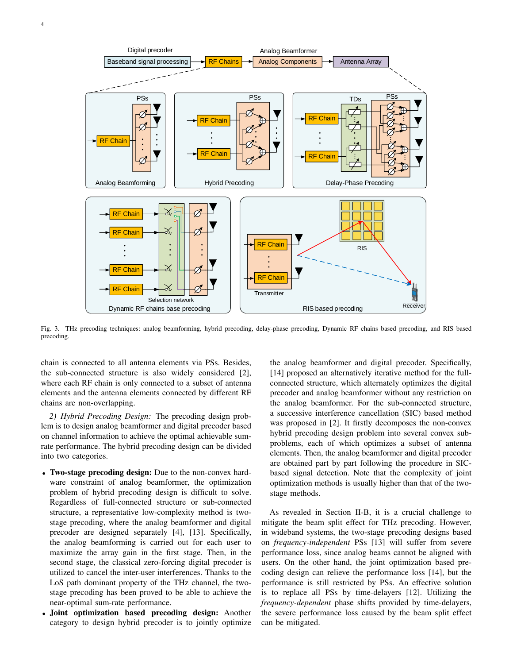

Fig. 3. THz precoding techniques: analog beamforming, hybrid precoding, delay-phase precoding, Dynamic RF chains based precoding, and RIS based precoding.

chain is connected to all antenna elements via PSs. Besides, the sub-connected structure is also widely considered [2], where each RF chain is only connected to a subset of antenna elements and the antenna elements connected by different RF chains are non-overlapping.

*2) Hybrid Precoding Design:* The precoding design problem is to design analog beamformer and digital precoder based on channel information to achieve the optimal achievable sumrate performance. The hybrid precoding design can be divided into two categories.

- Two-stage precoding design: Due to the non-convex hardware constraint of analog beamformer, the optimization problem of hybrid precoding design is difficult to solve. Regardless of full-connected structure or sub-connected structure, a representative low-complexity method is twostage precoding, where the analog beamformer and digital precoder are designed separately [4], [13]. Specifically, the analog beamforming is carried out for each user to maximize the array gain in the first stage. Then, in the second stage, the classical zero-forcing digital precoder is utilized to cancel the inter-user interferences. Thanks to the LoS path dominant property of the THz channel, the twostage precoding has been proved to be able to achieve the near-optimal sum-rate performance.
- Joint optimization based precoding design: Another category to design hybrid precoder is to jointly optimize

the analog beamformer and digital precoder. Specifically, [14] proposed an alternatively iterative method for the fullconnected structure, which alternately optimizes the digital precoder and analog beamformer without any restriction on the analog beamformer. For the sub-connected structure, a successive interference cancellation (SIC) based method was proposed in [2]. It firstly decomposes the non-convex hybrid precoding design problem into several convex subproblems, each of which optimizes a subset of antenna elements. Then, the analog beamformer and digital precoder are obtained part by part following the procedure in SICbased signal detection. Note that the complexity of joint optimization methods is usually higher than that of the twostage methods.

As revealed in Section II-B, it is a crucial challenge to mitigate the beam split effect for THz precoding. However, in wideband systems, the two-stage precoding designs based on *frequency-independent* PSs [13] will suffer from severe performance loss, since analog beams cannot be aligned with users. On the other hand, the joint optimization based precoding design can relieve the performance loss [14], but the performance is still restricted by PSs. An effective solution is to replace all PSs by time-delayers [12]. Utilizing the *frequency-dependent* phase shifts provided by time-delayers, the severe performance loss caused by the beam split effect can be mitigated.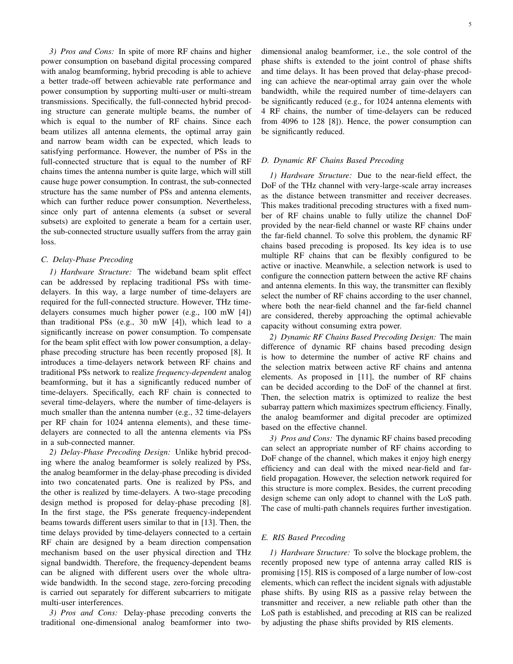*3) Pros and Cons:* In spite of more RF chains and higher power consumption on baseband digital processing compared with analog beamforming, hybrid precoding is able to achieve a better trade-off between achievable rate performance and power consumption by supporting multi-user or multi-stream transmissions. Specifically, the full-connected hybrid precoding structure can generate multiple beams, the number of which is equal to the number of RF chains. Since each beam utilizes all antenna elements, the optimal array gain and narrow beam width can be expected, which leads to satisfying performance. However, the number of PSs in the full-connected structure that is equal to the number of RF chains times the antenna number is quite large, which will still cause huge power consumption. In contrast, the sub-connected structure has the same number of PSs and antenna elements, which can further reduce power consumption. Nevertheless, since only part of antenna elements (a subset or several subsets) are exploited to generate a beam for a certain user, the sub-connected structure usually suffers from the array gain loss.

# *C. Delay-Phase Precoding*

*1) Hardware Structure:* The wideband beam split effect can be addressed by replacing traditional PSs with timedelayers. In this way, a large number of time-delayers are required for the full-connected structure. However, THz timedelayers consumes much higher power (e.g., 100 mW [4]) than traditional PSs (e.g., 30 mW [4]), which lead to a significantly increase on power consumption. To compensate for the beam split effect with low power consumption, a delayphase precoding structure has been recently proposed [8]. It introduces a time-delayers network between RF chains and traditional PSs network to realize *frequency-dependent* analog beamforming, but it has a significantly reduced number of time-delayers. Specifically, each RF chain is connected to several time-delayers, where the number of time-delayers is much smaller than the antenna number (e.g., 32 time-delayers per RF chain for 1024 antenna elements), and these timedelayers are connected to all the antenna elements via PSs in a sub-connected manner.

*2) Delay-Phase Precoding Design:* Unlike hybrid precoding where the analog beamformer is solely realized by PSs, the analog beamformer in the delay-phase precoding is divided into two concatenated parts. One is realized by PSs, and the other is realized by time-delayers. A two-stage precoding design method is proposed for delay-phase precoding [8]. In the first stage, the PSs generate frequency-independent beams towards different users similar to that in [13]. Then, the time delays provided by time-delayers connected to a certain RF chain are designed by a beam direction compensation mechanism based on the user physical direction and THz signal bandwidth. Therefore, the frequency-dependent beams can be aligned with different users over the whole ultrawide bandwidth. In the second stage, zero-forcing precoding is carried out separately for different subcarriers to mitigate multi-user interferences.

*3) Pros and Cons:* Delay-phase precoding converts the traditional one-dimensional analog beamformer into twodimensional analog beamformer, i.e., the sole control of the phase shifts is extended to the joint control of phase shifts and time delays. It has been proved that delay-phase precoding can achieve the near-optimal array gain over the whole bandwidth, while the required number of time-delayers can be significantly reduced (e.g., for 1024 antenna elements with 4 RF chains, the number of time-delayers can be reduced from 4096 to 128 [8]). Hence, the power consumption can be significantly reduced.

#### *D. Dynamic RF Chains Based Precoding*

*1) Hardware Structure:* Due to the near-field effect, the DoF of the THz channel with very-large-scale array increases as the distance between transmitter and receiver decreases. This makes traditional precoding structures with a fixed number of RF chains unable to fully utilize the channel DoF provided by the near-field channel or waste RF chains under the far-field channel. To solve this problem, the dynamic RF chains based precoding is proposed. Its key idea is to use multiple RF chains that can be flexibly configured to be active or inactive. Meanwhile, a selection network is used to configure the connection pattern between the active RF chains and antenna elements. In this way, the transmitter can flexibly select the number of RF chains according to the user channel, where both the near-field channel and the far-field channel are considered, thereby approaching the optimal achievable capacity without consuming extra power.

*2) Dynamic RF Chains Based Precoding Design:* The main difference of dynamic RF chains based precoding design is how to determine the number of active RF chains and the selection matrix between active RF chains and antenna elements. As proposed in [11], the number of RF chains can be decided according to the DoF of the channel at first. Then, the selection matrix is optimized to realize the best subarray pattern which maximizes spectrum efficiency. Finally, the analog beamformer and digital precoder are optimized based on the effective channel.

*3) Pros and Cons:* The dynamic RF chains based precoding can select an appropriate number of RF chains according to DoF change of the channel, which makes it enjoy high energy efficiency and can deal with the mixed near-field and farfield propagation. However, the selection network required for this structure is more complex. Besides, the current precoding design scheme can only adopt to channel with the LoS path. The case of multi-path channels requires further investigation.

#### *E. RIS Based Precoding*

*1) Hardware Structure:* To solve the blockage problem, the recently proposed new type of antenna array called RIS is promising [15]. RIS is composed of a large number of low-cost elements, which can reflect the incident signals with adjustable phase shifts. By using RIS as a passive relay between the transmitter and receiver, a new reliable path other than the LoS path is established, and precoding at RIS can be realized by adjusting the phase shifts provided by RIS elements.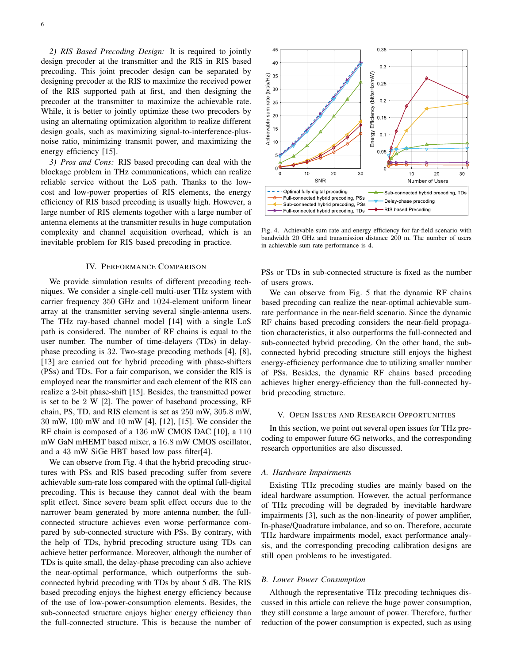*2) RIS Based Precoding Design:* It is required to jointly design precoder at the transmitter and the RIS in RIS based precoding. This joint precoder design can be separated by designing precoder at the RIS to maximize the received power of the RIS supported path at first, and then designing the precoder at the transmitter to maximize the achievable rate. While, it is better to jointly optimize these two precoders by using an alternating optimization algorithm to realize different design goals, such as maximizing signal-to-interference-plusnoise ratio, minimizing transmit power, and maximizing the energy efficiency [15].

*3) Pros and Cons:* RIS based precoding can deal with the blockage problem in THz communications, which can realize reliable service without the LoS path. Thanks to the lowcost and low-power properties of RIS elements, the energy efficiency of RIS based precoding is usually high. However, a large number of RIS elements together with a large number of antenna elements at the transmitter results in huge computation complexity and channel acquisition overhead, which is an inevitable problem for RIS based precoding in practice.

#### IV. PERFORMANCE COMPARISON

We provide simulation results of different precoding techniques. We consider a single-cell multi-user THz system with carrier frequency 350 GHz and 1024-element uniform linear array at the transmitter serving several single-antenna users. The THz ray-based channel model [14] with a single LoS path is considered. The number of RF chains is equal to the user number. The number of time-delayers (TDs) in delayphase precoding is 32. Two-stage precoding methods [4], [8], [13] are carried out for hybrid precoding with phase-shifters (PSs) and TDs. For a fair comparison, we consider the RIS is employed near the transmitter and each element of the RIS can realize a 2-bit phase-shift [15]. Besides, the transmitted power is set to be 2 W [2]. The power of baseband processing, RF chain, PS, TD, and RIS element is set as 250 mW, 305.8 mW, 30 mW, 100 mW and 10 mW [4], [12], [15]. We consider the RF chain is composed of a 136 mW CMOS DAC [10], a 110 mW GaN mHEMT based mixer, a 16.8 mW CMOS oscillator, and a 43 mW SiGe HBT based low pass filter[4].

We can observe from Fig. 4 that the hybrid precoding structures with PSs and RIS based precoding suffer from severe achievable sum-rate loss compared with the optimal full-digital precoding. This is because they cannot deal with the beam split effect. Since severe beam split effect occurs due to the narrower beam generated by more antenna number, the fullconnected structure achieves even worse performance compared by sub-connected structure with PSs. By contrary, with the help of TDs, hybrid precoding structure using TDs can achieve better performance. Moreover, although the number of TDs is quite small, the delay-phase precoding can also achieve the near-optimal performance, which outperforms the subconnected hybrid precoding with TDs by about 5 dB. The RIS based precoding enjoys the highest energy efficiency because of the use of low-power-consumption elements. Besides, the sub-connected structure enjoys higher energy efficiency than the full-connected structure. This is because the number of



Fig. 4. Achievable sum rate and energy efficiency for far-field scenario with bandwidth 20 GHz and transmission distance 200 m. The number of users in achievable sum rate performance is 4.

PSs or TDs in sub-connected structure is fixed as the number of users grows.

We can observe from Fig. 5 that the dynamic RF chains based precoding can realize the near-optimal achievable sumrate performance in the near-field scenario. Since the dynamic RF chains based precoding considers the near-field propagation characteristics, it also outperforms the full-connected and sub-connected hybrid precoding. On the other hand, the subconnected hybrid precoding structure still enjoys the highest energy-efficiency performance due to utilizing smaller number of PSs. Besides, the dynamic RF chains based precoding achieves higher energy-efficiency than the full-connected hybrid precoding structure.

#### V. OPEN ISSUES AND RESEARCH OPPORTUNITIES

In this section, we point out several open issues for THz precoding to empower future 6G networks, and the corresponding research opportunities are also discussed.

#### *A. Hardware Impairments*

Existing THz precoding studies are mainly based on the ideal hardware assumption. However, the actual performance of THz precoding will be degraded by inevitable hardware impairments [3], such as the non-linearity of power amplifier, In-phase/Quadrature imbalance, and so on. Therefore, accurate THz hardware impairments model, exact performance analysis, and the corresponding precoding calibration designs are still open problems to be investigated.

#### *B. Lower Power Consumption*

Although the representative THz precoding techniques discussed in this article can relieve the huge power consumption, they still consume a large amount of power. Therefore, further reduction of the power consumption is expected, such as using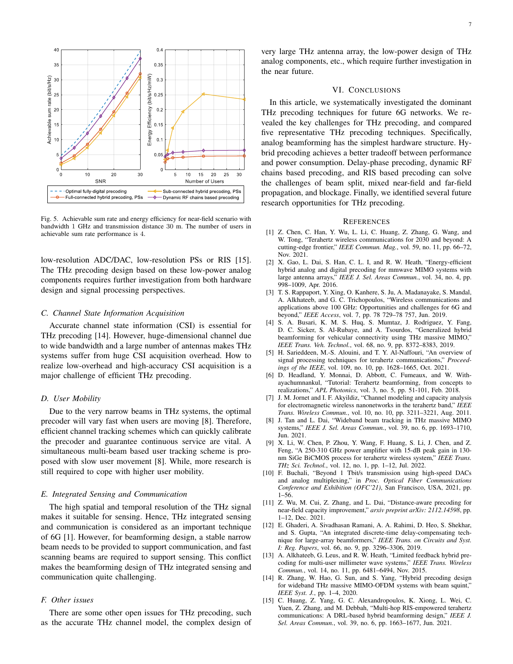

Fig. 5. Achievable sum rate and energy efficiency for near-field scenario with bandwidth 1 GHz and transmission distance 30 m. The number of users in achievable sum rate performance is 4.

low-resolution ADC/DAC, low-resolution PSs or RIS [15]. The THz precoding design based on these low-power analog components requires further investigation from both hardware design and signal processing perspectives.

#### *C. Channel State Information Acquisition*

Accurate channel state information (CSI) is essential for THz precoding [14]. However, huge-dimensional channel due to wide bandwidth and a large number of antennas makes THz systems suffer from huge CSI acquisition overhead. How to realize low-overhead and high-accuracy CSI acquisition is a major challenge of efficient THz precoding.

### *D. User Mobility*

Due to the very narrow beams in THz systems, the optimal precoder will vary fast when users are moving [8]. Therefore, efficient channel tracking schemes which can quickly calibrate the precoder and guarantee continuous service are vital. A simultaneous multi-beam based user tracking scheme is proposed with slow user movement [8]. While, more research is still required to cope with higher user mobility.

#### *E. Integrated Sensing and Communication*

The high spatial and temporal resolution of the THz signal makes it suitable for sensing. Hence, THz integrated sensing and communication is considered as an important technique of 6G [1]. However, for beamforming design, a stable narrow beam needs to be provided to support communication, and fast scanning beams are required to support sensing. This conflict makes the beamforming design of THz integrated sensing and communication quite challenging.

# *F. Other issues*

There are some other open issues for THz precoding, such as the accurate THz channel model, the complex design of

very large THz antenna array, the low-power design of THz analog components, etc., which require further investigation in the near future.

#### VI. CONCLUSIONS

In this article, we systematically investigated the dominant THz precoding techniques for future 6G networks. We revealed the key challenges for THz precoding, and compared five representative THz precoding techniques. Specifically, analog beamforming has the simplest hardware structure. Hybrid precoding achieves a better tradeoff between performance and power consumption. Delay-phase precoding, dynamic RF chains based precoding, and RIS based precoding can solve the challenges of beam split, mixed near-field and far-field propagation, and blockage. Finally, we identified several future research opportunities for THz precoding.

#### **REFERENCES**

- [1] Z. Chen, C. Han, Y. Wu, L. Li, C. Huang, Z. Zhang, G. Wang, and W. Tong, "Terahertz wireless communications for 2030 and beyond: A cutting-edge frontier," *IEEE Commun. Mag.*, vol. 59, no. 11, pp. 66–72, Nov. 2021.
- [2] X. Gao, L. Dai, S. Han, C. L. I, and R. W. Heath, "Energy-efficient hybrid analog and digital precoding for mmwave MIMO systems with large antenna arrays," *IEEE J. Sel. Areas Commun.*, vol. 34, no. 4, pp. 998–1009, Apr. 2016.
- [3] T. S. Rappaport, Y. Xing, O. Kanhere, S. Ju, A. Madanayake, S. Mandal, A. Alkhateeb, and G. C. Trichopoulos, "Wireless communications and applications above 100 GHz: Opportunities and challenges for 6G and beyond," *IEEE Access*, vol. 7, pp. 78 729–78 757, Jun. 2019.
- [4] S. A. Busari, K. M. S. Huq, S. Mumtaz, J. Rodriguez, Y. Fang, D. C. Sicker, S. Al-Rubaye, and A. Tsourdos, "Generalized hybrid beamforming for vehicular connectivity using THz massive MIMO," *IEEE Trans. Veh. Technol.*, vol. 68, no. 9, pp. 8372–8383, 2019.
- [5] H. Sarieddeen, M.-S. Alouini, and T. Y. Al-Naffouri, "An overview of signal processing techniques for terahertz communications," *Proceedings of the IEEE*, vol. 109, no. 10, pp. 1628–1665, Oct. 2021.
- [6] D. Headland, Y. Monnai, D. Abbott, C. Fumeaux, and W. Withayachumnankul, "Tutorial: Terahertz beamforming, from concepts to realizations," *APL Photonics*, vol. 3, no. 5, pp. 51-101, Feb. 2018.
- [7] J. M. Jornet and I. F. Akyildiz, "Channel modeling and capacity analysis for electromagnetic wireless nanonetworks in the terahertz band," *IEEE Trans. Wireless Commun.*, vol. 10, no. 10, pp. 3211–3221, Aug. 2011.
- [8] J. Tan and L. Dai, "Wideband beam tracking in THz massive MIMO systems," *IEEE J. Sel. Areas Commun.*, vol. 39, no. 6, pp. 1693–1710, Jun. 2021.
- [9] X. Li, W. Chen, P. Zhou, Y. Wang, F. Huang, S. Li, J. Chen, and Z. Feng, "A 250-310 GHz power amplifier with 15-dB peak gain in 130 nm SiGe BiCMOS process for terahertz wireless system," *IEEE Trans. THz Sci. Technol.*, vol. 12, no. 1, pp. 1–12, Jul. 2022.
- [10] F. Buchali, "Beyond 1 Tbit/s transmission using high-speed DACs and analog multiplexing," in *Proc. Optical Fiber Communications Conference and Exhibition (OFC'21)*, San Francisco, USA, 2021, pp. 1–56.
- [11] Z. Wu, M. Cui, Z. Zhang, and L. Dai, "Distance-aware precoding for near-field capacity improvement," *arxiv preprint arXiv: 2112.14598*, pp. 1–12, Dec. 2021.
- [12] E. Ghaderi, A. Sivadhasan Ramani, A. A. Rahimi, D. Heo, S. Shekhar, and S. Gupta, "An integrated discrete-time delay-compensating technique for large-array beamformers," *IEEE Trans. on Circuits and Syst. I: Reg. Papers*, vol. 66, no. 9, pp. 3296–3306, 2019.
- [13] A. Alkhateeb, G. Leus, and R. W. Heath, "Limited feedback hybrid precoding for multi-user millimeter wave systems," *IEEE Trans. Wireless Commun.*, vol. 14, no. 11, pp. 6481–6494, Nov. 2015.
- [14] R. Zhang, W. Hao, G. Sun, and S. Yang, "Hybrid precoding design for wideband THz massive MIMO-OFDM systems with beam squint," *IEEE Syst. J.*, pp. 1–4, 2020.
- [15] C. Huang, Z. Yang, G. C. Alexandropoulos, K. Xiong, L. Wei, C. Yuen, Z. Zhang, and M. Debbah, "Multi-hop RIS-empowered terahertz communications: A DRL-based hybrid beamforming design," *IEEE J. Sel. Areas Commun.*, vol. 39, no. 6, pp. 1663–1677, Jun. 2021.